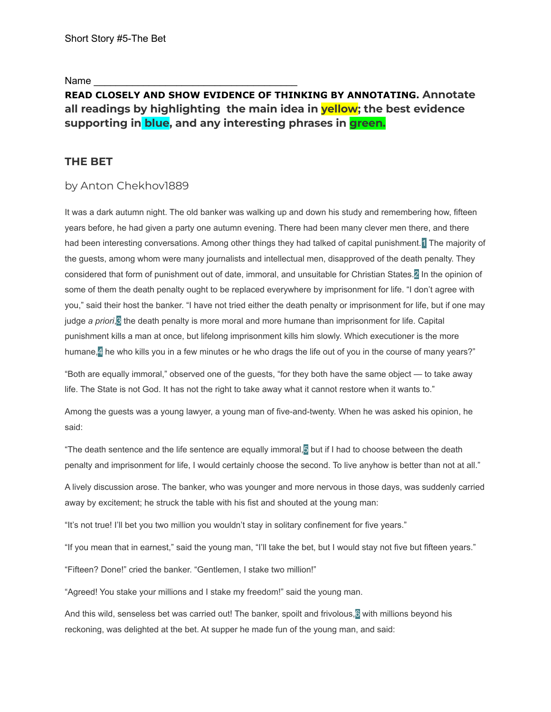Name

# **READ CLOSELY AND SHOW EVIDENCE OF THINKING BY ANNOTATING. Annotate all readings by highlighting the main idea in yellow; the best evidence supporting in blue, and any interesting phrases in green.**

## **THE BET**

### by Anton Chekhov1889

It was a dark autumn night. The old banker was walking up and down his study and remembering how, fifteen years before, he had given a party one autumn evening. There had been many clever men there, and there had been interesting conversations. Among other things they had talked of capital punishment. 1 The majority of the guests, among whom were many journalists and intellectual men, disapproved of the death penalty. They considered that form of punishment out of date, immoral, and unsuitable for Christian States.2 In the opinion of some of them the death penalty ought to be replaced everywhere by imprisonment for life. "I don't agree with you," said their host the banker. "I have not tried either the death penalty or imprisonment for life, but if one may judge *a priori*,3 the death penalty is more moral and more humane than imprisonment for life. Capital punishment kills a man at once, but lifelong imprisonment kills him slowly. Which executioner is the more humane,<sup>4</sup> he who kills you in a few minutes or he who drags the life out of you in the course of many years?"

"Both are equally immoral," observed one of the guests, "for they both have the same object — to take away life. The State is not God. It has not the right to take away what it cannot restore when it wants to."

Among the guests was a young lawyer, a young man of five-and-twenty. When he was asked his opinion, he said:

"The death sentence and the life sentence are equally immoral,<sup>5</sup> but if I had to choose between the death penalty and imprisonment for life, I would certainly choose the second. To live anyhow is better than not at all."

A lively discussion arose. The banker, who was younger and more nervous in those days, was suddenly carried away by excitement; he struck the table with his fist and shouted at the young man:

"It's not true! I'll bet you two million you wouldn't stay in solitary confinement for five years."

"If you mean that in earnest," said the young man, "I'll take the bet, but I would stay not five but fifteen years."

"Fifteen? Done!" cried the banker. "Gentlemen, I stake two million!"

"Agreed! You stake your millions and I stake my freedom!" said the young man.

And this wild, senseless bet was carried out! The banker, spoilt and frivolous, with millions beyond his reckoning, was delighted at the bet. At supper he made fun of the young man, and said: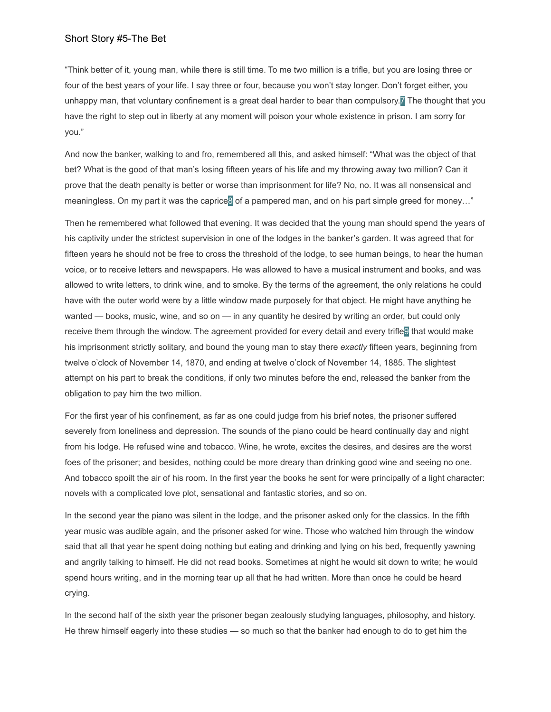"Think better of it, young man, while there is still time. To me two million is a trifle, but you are losing three or four of the best years of your life. I say three or four, because you won't stay longer. Don't forget either, you unhappy man, that voluntary confinement is a great deal harder to bear than compulsory. $\mathbf{z}$  The thought that you have the right to step out in liberty at any moment will poison your whole existence in prison. I am sorry for you."

And now the banker, walking to and fro, remembered all this, and asked himself: "What was the object of that bet? What is the good of that man's losing fifteen years of his life and my throwing away two million? Can it prove that the death penalty is better or worse than imprisonment for life? No, no. It was all nonsensical and meaningless. On my part it was the caprice<sup>8</sup> of a pampered man, and on his part simple greed for money..."

Then he remembered what followed that evening. It was decided that the young man should spend the years of his captivity under the strictest supervision in one of the lodges in the banker's garden. It was agreed that for fifteen years he should not be free to cross the threshold of the lodge, to see human beings, to hear the human voice, or to receive letters and newspapers. He was allowed to have a musical instrument and books, and was allowed to write letters, to drink wine, and to smoke. By the terms of the agreement, the only relations he could have with the outer world were by a little window made purposely for that object. He might have anything he wanted — books, music, wine, and so on — in any quantity he desired by writing an order, but could only receive them through the window. The agreement provided for every detail and every trifle<sup>n</sup> that would make his imprisonment strictly solitary, and bound the young man to stay there *exactly* fifteen years, beginning from twelve o'clock of November 14, 1870, and ending at twelve o'clock of November 14, 1885. The slightest attempt on his part to break the conditions, if only two minutes before the end, released the banker from the obligation to pay him the two million.

For the first year of his confinement, as far as one could judge from his brief notes, the prisoner suffered severely from loneliness and depression. The sounds of the piano could be heard continually day and night from his lodge. He refused wine and tobacco. Wine, he wrote, excites the desires, and desires are the worst foes of the prisoner; and besides, nothing could be more dreary than drinking good wine and seeing no one. And tobacco spoilt the air of his room. In the first year the books he sent for were principally of a light character: novels with a complicated love plot, sensational and fantastic stories, and so on.

In the second year the piano was silent in the lodge, and the prisoner asked only for the classics. In the fifth year music was audible again, and the prisoner asked for wine. Those who watched him through the window said that all that year he spent doing nothing but eating and drinking and lying on his bed, frequently yawning and angrily talking to himself. He did not read books. Sometimes at night he would sit down to write; he would spend hours writing, and in the morning tear up all that he had written. More than once he could be heard crying.

In the second half of the sixth year the prisoner began zealously studying languages, philosophy, and history. He threw himself eagerly into these studies — so much so that the banker had enough to do to get him the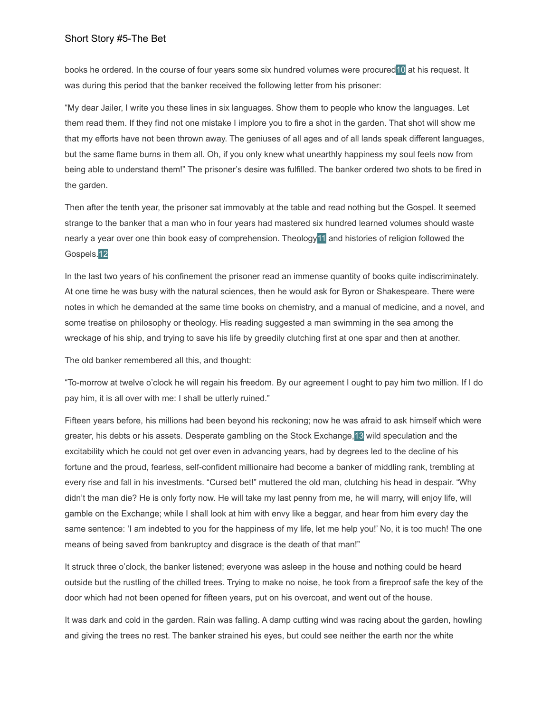books he ordered. In the course of four years some six hundred volumes were procured10 at his request. It was during this period that the banker received the following letter from his prisoner:

"My dear Jailer, I write you these lines in six languages. Show them to people who know the languages. Let them read them. If they find not one mistake I implore you to fire a shot in the garden. That shot will show me that my efforts have not been thrown away. The geniuses of all ages and of all lands speak different languages, but the same flame burns in them all. Oh, if you only knew what unearthly happiness my soul feels now from being able to understand them!" The prisoner's desire was fulfilled. The banker ordered two shots to be fired in the garden.

Then after the tenth year, the prisoner sat immovably at the table and read nothing but the Gospel. It seemed strange to the banker that a man who in four years had mastered six hundred learned volumes should waste nearly a year over one thin book easy of comprehension. Theology<sup>11</sup> and histories of religion followed the Gospels.12

In the last two years of his confinement the prisoner read an immense quantity of books quite indiscriminately. At one time he was busy with the natural sciences, then he would ask for Byron or Shakespeare. There were notes in which he demanded at the same time books on chemistry, and a manual of medicine, and a novel, and some treatise on philosophy or theology. His reading suggested a man swimming in the sea among the wreckage of his ship, and trying to save his life by greedily clutching first at one spar and then at another.

The old banker remembered all this, and thought:

"To-morrow at twelve o'clock he will regain his freedom. By our agreement I ought to pay him two million. If I do pay him, it is all over with me: I shall be utterly ruined."

Fifteen years before, his millions had been beyond his reckoning; now he was afraid to ask himself which were greater, his debts or his assets. Desperate gambling on the Stock Exchange,13 wild speculation and the excitability which he could not get over even in advancing years, had by degrees led to the decline of his fortune and the proud, fearless, self-confident millionaire had become a banker of middling rank, trembling at every rise and fall in his investments. "Cursed bet!" muttered the old man, clutching his head in despair. "Why didn't the man die? He is only forty now. He will take my last penny from me, he will marry, will enjoy life, will gamble on the Exchange; while I shall look at him with envy like a beggar, and hear from him every day the same sentence: 'I am indebted to you for the happiness of my life, let me help you!' No, it is too much! The one means of being saved from bankruptcy and disgrace is the death of that man!"

It struck three o'clock, the banker listened; everyone was asleep in the house and nothing could be heard outside but the rustling of the chilled trees. Trying to make no noise, he took from a fireproof safe the key of the door which had not been opened for fifteen years, put on his overcoat, and went out of the house.

It was dark and cold in the garden. Rain was falling. A damp cutting wind was racing about the garden, howling and giving the trees no rest. The banker strained his eyes, but could see neither the earth nor the white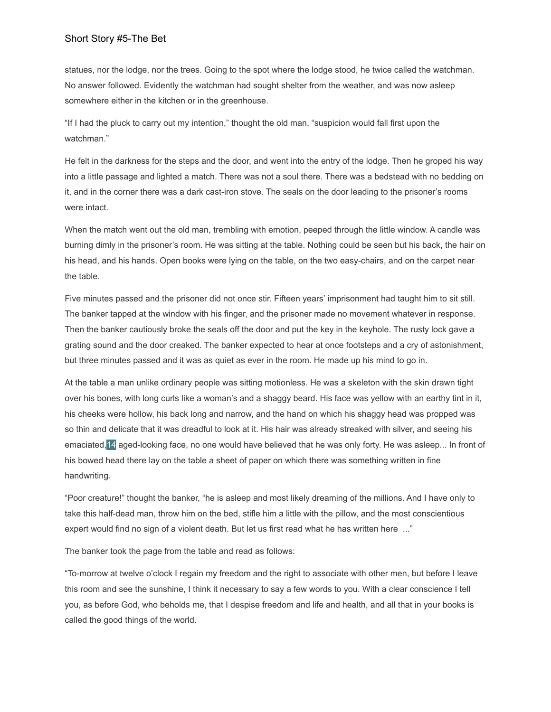statues, nor the lodge, nor the trees. Going to the spot where the lodge stood, he twice called the watchman. No answer followed. Evidently the watchman had sought shelter from the weather, and was now asleep somewhere either in the kitchen or in the greenhouse.

"If I had the pluck to carry out my intention," thought the old man, "suspicion would fall first upon the watchman."

He felt in the darkness for the steps and the door, and went into the entry of the lodge. Then he groped his way into a little passage and lighted a match. There was not a soul there. There was a bedstead with no bedding on it, and in the corner there was a dark cast-iron stove. The seals on the door leading to the prisoner's rooms were intact.

When the match went out the old man, trembling with emotion, peeped through the little window. A candle was burning dimly in the prisoner's room. He was sitting at the table. Nothing could be seen but his back, the hair on his head, and his hands. Open books were lying on the table, on the two easy-chairs, and on the carpet near the table.

Five minutes passed and the prisoner did not once stir. Fifteen years' imprisonment had taught him to sit still. The banker tapped at the window with his finger, and the prisoner made no movement whatever in response. Then the banker cautiously broke the seals off the door and put the key in the keyhole. The rusty lock gave a grating sound and the door creaked. The banker expected to hear at once footsteps and a cry of astonishment, but three minutes passed and it was as quiet as ever in the room. He made up his mind to go in.

At the table a man unlike ordinary people was sitting motionless. He was a skeleton with the skin drawn tight over his bones, with long curls like a woman's and a shaggy beard. His face was yellow with an earthy tint in it, his cheeks were hollow, his back long and narrow, and the hand on which his shaggy head was propped was so thin and delicate that it was dreadful to look at it. His hair was already streaked with silver, and seeing his emaciated,14 aged-looking face, no one would have believed that he was only forty. He was asleep... In front of his bowed head there lay on the table a sheet of paper on which there was something written in fine handwriting.

"Poor creature!" thought the banker, "he is asleep and most likely dreaming of the millions. And I have only to take this half-dead man, throw him on the bed, stifle him a little with the pillow, and the most conscientious expert would find no sign of a violent death. But let us first read what he has written here ..."

The banker took the page from the table and read as follows:

"To-morrow at twelve o'clock I regain my freedom and the right to associate with other men, but before I leave this room and see the sunshine, I think it necessary to say a few words to you. With a clear conscience I tell you, as before God, who beholds me, that I despise freedom and life and health, and all that in your books is called the good things of the world.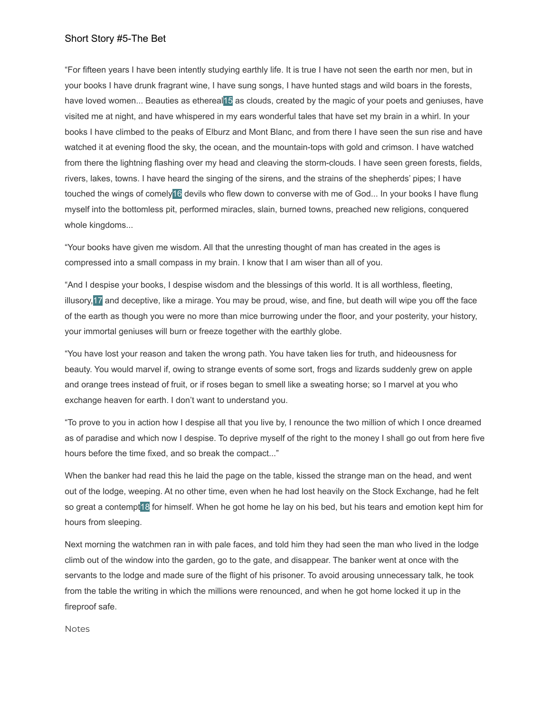"For fifteen years I have been intently studying earthly life. It is true I have not seen the earth nor men, but in your books I have drunk fragrant wine, I have sung songs, I have hunted stags and wild boars in the forests, have loved women... Beauties as ethereal15 as clouds, created by the magic of your poets and geniuses, have visited me at night, and have whispered in my ears wonderful tales that have set my brain in a whirl. In your books I have climbed to the peaks of Elburz and Mont Blanc, and from there I have seen the sun rise and have watched it at evening flood the sky, the ocean, and the mountain-tops with gold and crimson. I have watched from there the lightning flashing over my head and cleaving the storm-clouds. I have seen green forests, fields, rivers, lakes, towns. I have heard the singing of the sirens, and the strains of the shepherds' pipes; I have touched the wings of comely16 devils who flew down to converse with me of God... In your books I have flung myself into the bottomless pit, performed miracles, slain, burned towns, preached new religions, conquered whole kingdoms...

"Your books have given me wisdom. All that the unresting thought of man has created in the ages is compressed into a small compass in my brain. I know that I am wiser than all of you.

"And I despise your books, I despise wisdom and the blessings of this world. It is all worthless, fleeting, illusory,17 and deceptive, like a mirage. You may be proud, wise, and fine, but death will wipe you off the face of the earth as though you were no more than mice burrowing under the floor, and your posterity, your history, your immortal geniuses will burn or freeze together with the earthly globe.

"You have lost your reason and taken the wrong path. You have taken lies for truth, and hideousness for beauty. You would marvel if, owing to strange events of some sort, frogs and lizards suddenly grew on apple and orange trees instead of fruit, or if roses began to smell like a sweating horse; so I marvel at you who exchange heaven for earth. I don't want to understand you.

"To prove to you in action how I despise all that you live by, I renounce the two million of which I once dreamed as of paradise and which now I despise. To deprive myself of the right to the money I shall go out from here five hours before the time fixed, and so break the compact..."

When the banker had read this he laid the page on the table, kissed the strange man on the head, and went out of the lodge, weeping. At no other time, even when he had lost heavily on the Stock Exchange, had he felt so great a contempt<sup>18</sup> for himself. When he got home he lay on his bed, but his tears and emotion kept him for hours from sleeping.

Next morning the watchmen ran in with pale faces, and told him they had seen the man who lived in the lodge climb out of the window into the garden, go to the gate, and disappear. The banker went at once with the servants to the lodge and made sure of the flight of his prisoner. To avoid arousing unnecessary talk, he took from the table the writing in which the millions were renounced, and when he got home locked it up in the fireproof safe.

Notes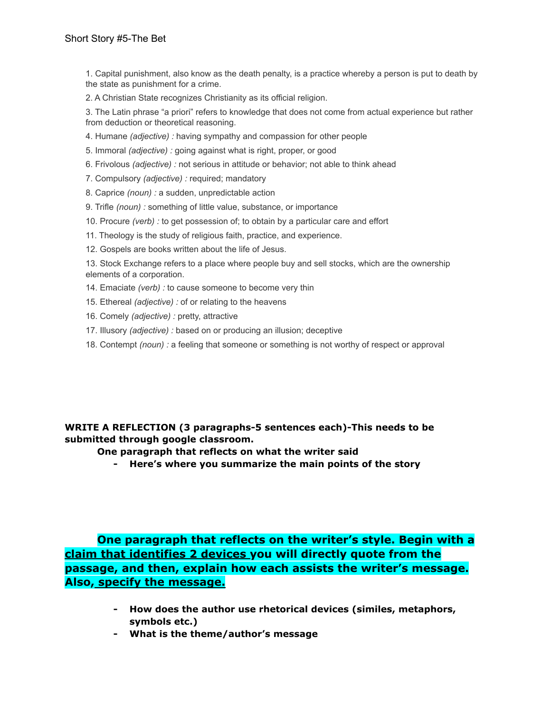1. Capital punishment, also know as the death penalty, is a practice whereby a person is put to death by the state as punishment for a crime.

2. A Christian State recognizes Christianity as its official religion.

3. The Latin phrase "a priori" refers to knowledge that does not come from actual experience but rather from deduction or theoretical reasoning.

- 4. Humane *(adjective) :* having sympathy and compassion for other people
- 5. Immoral *(adjective) :* going against what is right, proper, or good
- 6. Frivolous *(adjective) :* not serious in attitude or behavior; not able to think ahead
- 7. Compulsory *(adjective) :* required; mandatory
- 8. Caprice *(noun) :* a sudden, unpredictable action
- 9. Trifle *(noun) :* something of little value, substance, or importance
- 10. Procure *(verb) :* to get possession of; to obtain by a particular care and effort
- 11. Theology is the study of religious faith, practice, and experience.
- 12. Gospels are books written about the life of Jesus.

13. Stock Exchange refers to a place where people buy and sell stocks, which are the ownership elements of a corporation.

- 14. Emaciate *(verb) :* to cause someone to become very thin
- 15. Ethereal *(adjective) :* of or relating to the heavens
- 16. Comely *(adjective) :* pretty, attractive
- 17. Illusory *(adjective) :* based on or producing an illusion; deceptive
- 18. Contempt *(noun) :* a feeling that someone or something is not worthy of respect or approval

**WRITE A REFLECTION (3 paragraphs-5 sentences each)-This needs to be submitted through google classroom.**

**One paragraph that reflects on what the writer said**

**- Here's where you summarize the main points of the story**

**One paragraph that reflects on the writer's style. Begin with a claim that identifies 2 devices you will directly quote from the passage, and then, explain how each assists the writer's message. Also, specify the message.**

- **- How does the author use rhetorical devices (similes, metaphors, symbols etc.)**
- **- What is the theme/author's message**